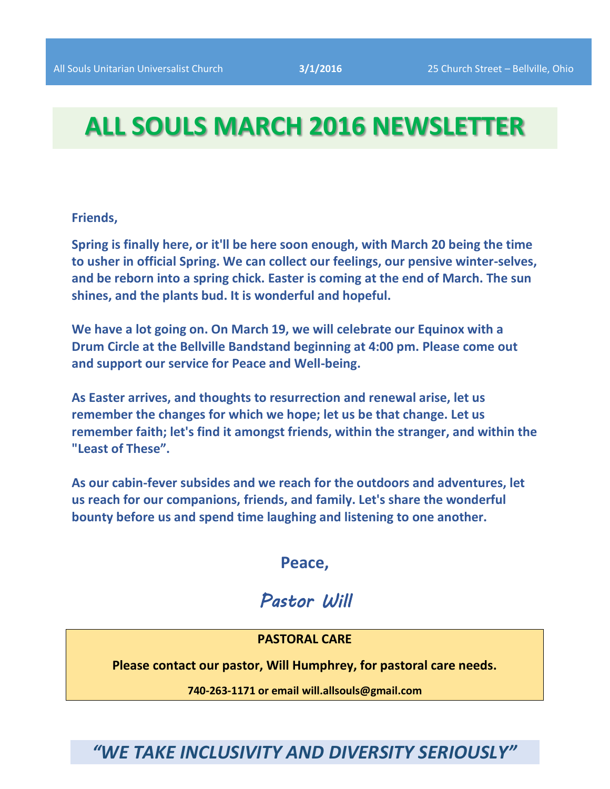# **ALL SOULS MARCH 2016 NEWSLETTER**

**Friends,**

**Spring is finally here, or it'll be here soon enough, with March 20 being the time to usher in official Spring. We can collect our feelings, our pensive winter-selves, and be reborn into a spring chick. Easter is coming at the end of March. The sun shines, and the plants bud. It is wonderful and hopeful.**

**We have a lot going on. On March 19, we will celebrate our Equinox with a Drum Circle at the Bellville Bandstand beginning at 4:00 pm. Please come out and support our service for Peace and Well-being.**

**As Easter arrives, and thoughts to resurrection and renewal arise, let us remember the changes for which we hope; let us be that change. Let us remember faith; let's find it amongst friends, within the stranger, and within the "Least of These".**

**As our cabin-fever subsides and we reach for the outdoors and adventures, let us reach for our companions, friends, and family. Let's share the wonderful bounty before us and spend time laughing and listening to one another.**

# **Peace,**

# *Pastor Will*

## **PASTORAL CARE**

**Please contact our pastor, Will Humphrey, for pastoral care needs.**

**740-263-1171 or email will.allsouls@gmail.com**

*"WE TAKE INCLUSIVITY AND DIVERSITY SERIOUSLY"*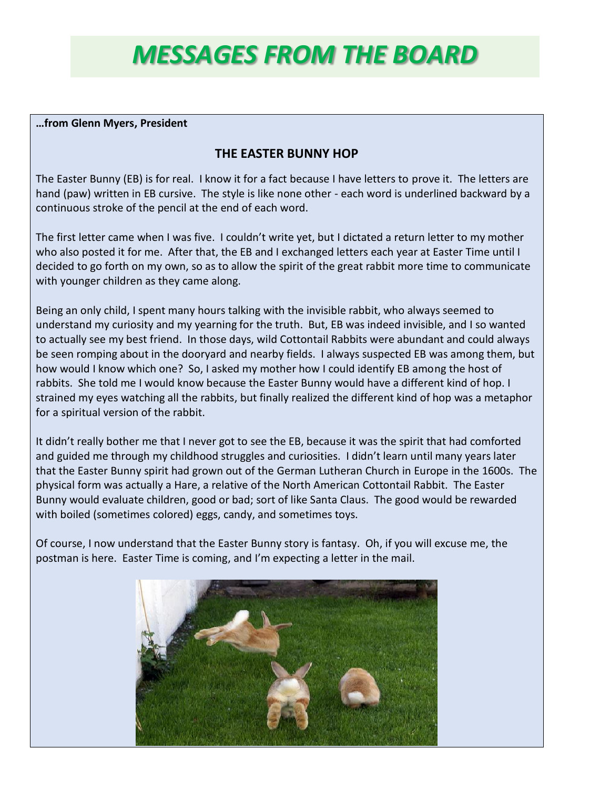# *MESSAGES FROM THE BOARD*

#### **…from Glenn Myers, President**

## **THE EASTER BUNNY HOP**

The Easter Bunny (EB) is for real. I know it for a fact because I have letters to prove it. The letters are hand (paw) written in EB cursive. The style is like none other - each word is underlined backward by a continuous stroke of the pencil at the end of each word.

The first letter came when I was five. I couldn't write yet, but I dictated a return letter to my mother who also posted it for me. After that, the EB and I exchanged letters each year at Easter Time until I decided to go forth on my own, so as to allow the spirit of the great rabbit more time to communicate with younger children as they came along.

Being an only child, I spent many hours talking with the invisible rabbit, who always seemed to understand my curiosity and my yearning for the truth. But, EB was indeed invisible, and I so wanted to actually see my best friend. In those days, wild Cottontail Rabbits were abundant and could always be seen romping about in the dooryard and nearby fields. I always suspected EB was among them, but how would I know which one? So, I asked my mother how I could identify EB among the host of rabbits. She told me I would know because the Easter Bunny would have a different kind of hop. I strained my eyes watching all the rabbits, but finally realized the different kind of hop was a metaphor for a spiritual version of the rabbit.

It didn't really bother me that I never got to see the EB, because it was the spirit that had comforted and guided me through my childhood struggles and curiosities. I didn't learn until many years later that the Easter Bunny spirit had grown out of the German Lutheran Church in Europe in the 1600s. The physical form was actually a Hare, a relative of the North American Cottontail Rabbit. The Easter Bunny would evaluate children, good or bad; sort of like Santa Claus. The good would be rewarded with boiled (sometimes colored) eggs, candy, and sometimes toys.

Of course, I now understand that the Easter Bunny story is fantasy. Oh, if you will excuse me, the postman is here. Easter Time is coming, and I'm expecting a letter in the mail.

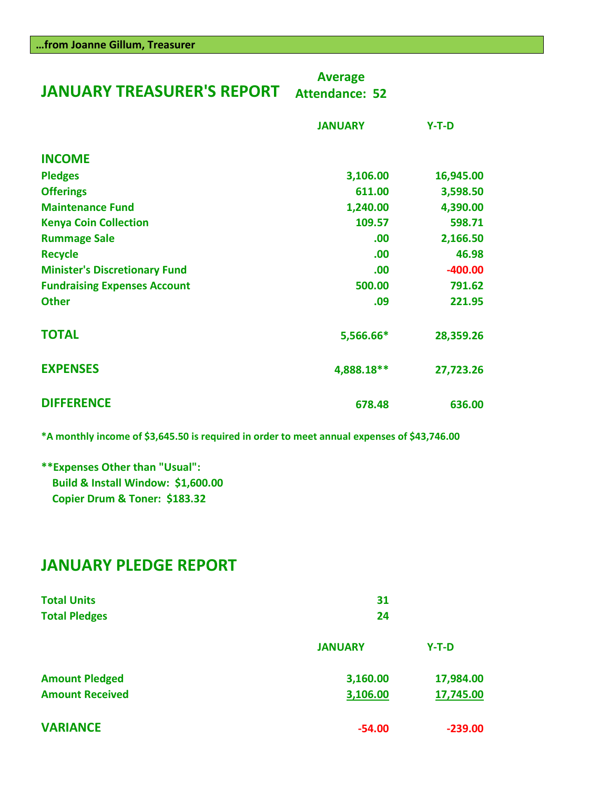| <b>JANUARY TREASURER'S REPORT</b>    | <b>Average</b><br><b>Attendance: 52</b> |           |  |
|--------------------------------------|-----------------------------------------|-----------|--|
|                                      | <b>JANUARY</b>                          | $Y-T-D$   |  |
| <b>INCOME</b>                        |                                         |           |  |
| <b>Pledges</b>                       | 3,106.00                                | 16,945.00 |  |
| <b>Offerings</b>                     | 611.00                                  | 3,598.50  |  |
| <b>Maintenance Fund</b>              | 1,240.00                                | 4,390.00  |  |
| <b>Kenya Coin Collection</b>         | 109.57                                  | 598.71    |  |
| <b>Rummage Sale</b>                  | .00                                     | 2,166.50  |  |
| <b>Recycle</b>                       | .00                                     | 46.98     |  |
| <b>Minister's Discretionary Fund</b> | .00                                     | $-400.00$ |  |
| <b>Fundraising Expenses Account</b>  | 500.00                                  | 791.62    |  |
| <b>Other</b>                         | .09                                     | 221.95    |  |
| <b>TOTAL</b>                         | 5,566.66*                               | 28,359.26 |  |
| <b>EXPENSES</b>                      | 4,888.18**                              | 27,723.26 |  |
| <b>DIFFERENCE</b>                    | 678.48                                  | 636.00    |  |

**\*A monthly income of \$3,645.50 is required in order to meet annual expenses of \$43,746.00**

**\*\*Expenses Other than "Usual": Build & Install Window: \$1,600.00 Copier Drum & Toner: \$183.32** 

# **JANUARY PLEDGE REPORT**

| <b>Total Units</b><br><b>Total Pledges</b> | 31<br>24              |           |  |  |
|--------------------------------------------|-----------------------|-----------|--|--|
|                                            | <b>JANUARY</b>        | $Y-T-D$   |  |  |
| <b>Amount Pledged</b>                      | 3,160.00              | 17,984.00 |  |  |
| <b>Amount Received</b>                     | 3,106.00<br>17,745.00 |           |  |  |
| <b>VARIANCE</b>                            | $-54.00$              | $-239.00$ |  |  |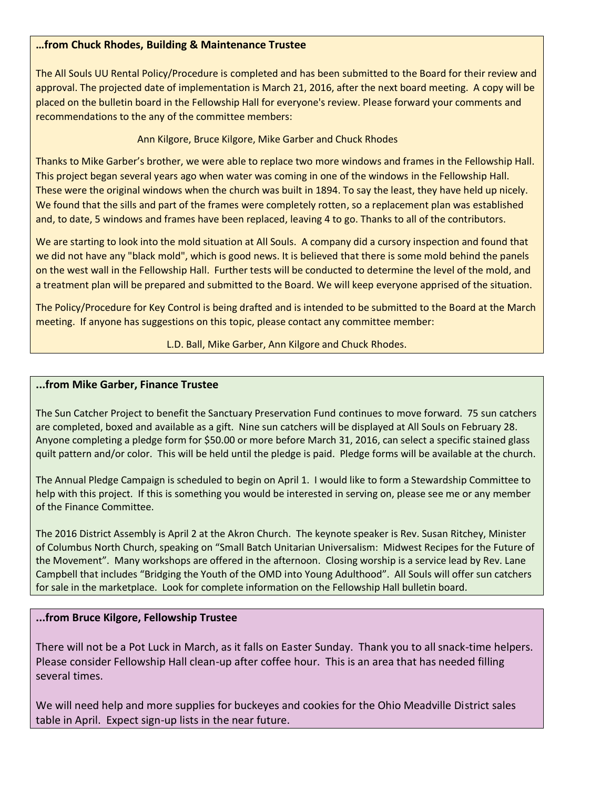#### **…from Chuck Rhodes, Building & Maintenance Trustee**

The All Souls UU Rental Policy/Procedure is completed and has been submitted to the Board for their review and approval. The projected date of implementation is March 21, 2016, after the next board meeting. A copy will be placed on the bulletin board in the Fellowship Hall for everyone's review. Please forward your comments and recommendations to the any of the committee members:

#### Ann Kilgore, Bruce Kilgore, Mike Garber and Chuck Rhodes

Thanks to Mike Garber's brother, we were able to replace two more windows and frames in the Fellowship Hall. This project began several years ago when water was coming in one of the windows in the Fellowship Hall. These were the original windows when the church was built in 1894. To say the least, they have held up nicely. We found that the sills and part of the frames were completely rotten, so a replacement plan was established and, to date, 5 windows and frames have been replaced, leaving 4 to go. Thanks to all of the contributors.

We are starting to look into the mold situation at All Souls. A company did a cursory inspection and found that we did not have any "black mold", which is good news. It is believed that there is some mold behind the panels on the west wall in the Fellowship Hall. Further tests will be conducted to determine the level of the mold, and a treatment plan will be prepared and submitted to the Board. We will keep everyone apprised of the situation.

The Policy/Procedure for Key Control is being drafted and is intended to be submitted to the Board at the March meeting. If anyone has suggestions on this topic, please contact any committee member:

#### L.D. Ball, Mike Garber, Ann Kilgore and Chuck Rhodes.

#### **...from Mike Garber, Finance Trustee**

The Sun Catcher Project to benefit the Sanctuary Preservation Fund continues to move forward. 75 sun catchers are completed, boxed and available as a gift. Nine sun catchers will be displayed at All Souls on February 28. Anyone completing a pledge form for \$50.00 or more before March 31, 2016, can select a specific stained glass quilt pattern and/or color. This will be held until the pledge is paid. Pledge forms will be available at the church.

The Annual Pledge Campaign is scheduled to begin on April 1. I would like to form a Stewardship Committee to help with this project. If this is something you would be interested in serving on, please see me or any member of the Finance Committee.

The 2016 District Assembly is April 2 at the Akron Church. The keynote speaker is Rev. Susan Ritchey, Minister of Columbus North Church, speaking on "Small Batch Unitarian Universalism: Midwest Recipes for the Future of the Movement". Many workshops are offered in the afternoon. Closing worship is a service lead by Rev. Lane Campbell that includes "Bridging the Youth of the OMD into Young Adulthood". All Souls will offer sun catchers for sale in the marketplace. Look for complete information on the Fellowship Hall bulletin board.

#### **...from Bruce Kilgore, Fellowship Trustee**

There will not be a Pot Luck in March, as it falls on Easter Sunday. Thank you to all snack-time helpers. Please consider Fellowship Hall clean-up after coffee hour. This is an area that has needed filling several times.

We will need help and more supplies for buckeyes and cookies for the Ohio Meadville District sales table in April. Expect sign-up lists in the near future.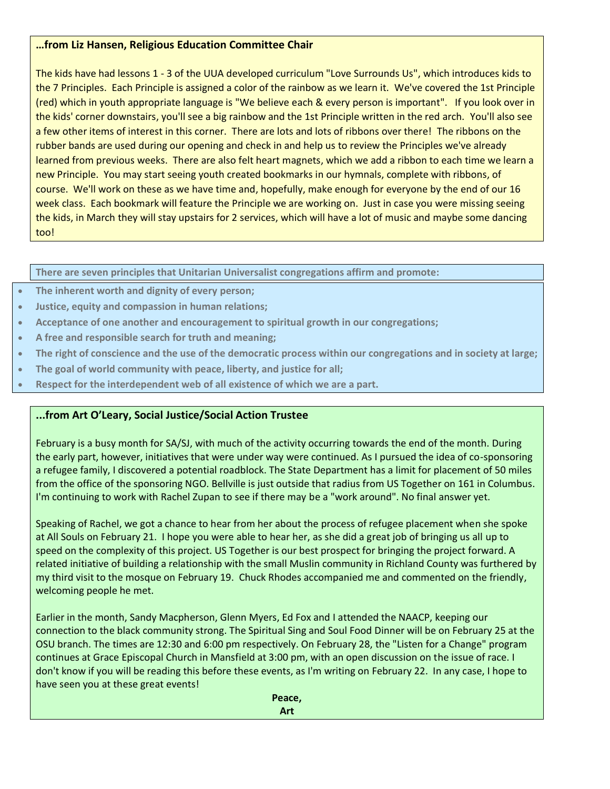#### **…from Liz Hansen, Religious Education Committee Chair**

The kids have had lessons 1 - 3 of the UUA developed curriculum "Love Surrounds Us", which introduces kids to the 7 Principles. Each Principle is assigned a color of the rainbow as we learn it. We've covered the 1st Principle (red) which in youth appropriate language is "We believe each & every person is important". If you look over in the kids' corner downstairs, you'll see a big rainbow and the 1st Principle written in the red arch. You'll also see a few other items of interest in this corner. There are lots and lots of ribbons over there! The ribbons on the rubber bands are used during our opening and check in and help us to review the Principles we've already learned from previous weeks. There are also felt heart magnets, which we add a ribbon to each time we learn a new Principle. You may start seeing youth created bookmarks in our hymnals, complete with ribbons, of course. We'll work on these as we have time and, hopefully, make enough for everyone by the end of our 16 week class. Each bookmark will feature the Principle we are working on. Just in case you were missing seeing the kids, in March they will stay upstairs for 2 services, which will have a lot of music and maybe some dancing too!

**There are seven principles that Unitarian Universalist congregations affirm and promote:**

- **The inherent worth and dignity of every person;**
- **Justice, equity and compassion in human relations;**
- **Acceptance of one another and encouragement to spiritual growth in our congregations;**
- **A free and responsible search for truth and meaning;**
- **The right of conscience and the use of the democratic process within our congregations and in society at large;**
- **The goal of world community with peace, liberty, and justice for all;**
- **Respect for the interdependent web of all existence of which we are a part.**

## **...from Art O'Leary, Social Justice/Social Action Trustee**

February is a busy month for SA/SJ, with much of the activity occurring towards the end of the month. During the early part, however, initiatives that were under way were continued. As I pursued the idea of co-sponsoring a refugee family, I discovered a potential roadblock. The State Department has a limit for placement of 50 miles from the office of the sponsoring NGO. Bellville is just outside that radius from US Together on 161 in Columbus. I'm continuing to work with Rachel Zupan to see if there may be a "work around". No final answer yet.

Speaking of Rachel, we got a chance to hear from her about the process of refugee placement when she spoke at All Souls on February 21. I hope you were able to hear her, as she did a great job of bringing us all up to speed on the complexity of this project. US Together is our best prospect for bringing the project forward. A related initiative of building a relationship with the small Muslin community in Richland County was furthered by my third visit to the mosque on February 19. Chuck Rhodes accompanied me and commented on the friendly, welcoming people he met.

Earlier in the month, Sandy Macpherson, Glenn Myers, Ed Fox and I attended the NAACP, keeping our connection to the black community strong. The Spiritual Sing and Soul Food Dinner will be on February 25 at the OSU branch. The times are 12:30 and 6:00 pm respectively. On February 28, the "Listen for a Change" program continues at Grace Episcopal Church in Mansfield at 3:00 pm, with an open discussion on the issue of race. I don't know if you will be reading this before these events, as I'm writing on February 22. In any case, I hope to have seen you at these great events!

> **Peace, Art**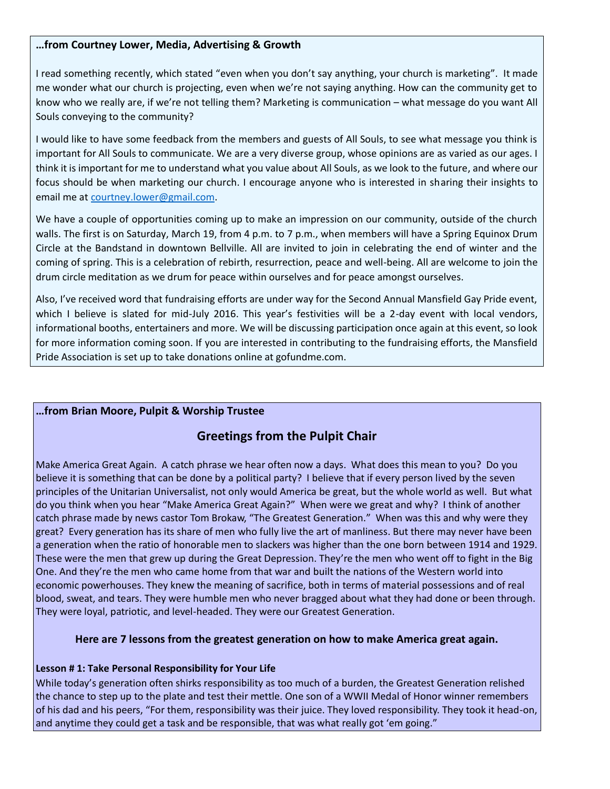#### **…from Courtney Lower, Media, Advertising & Growth**

I read something recently, which stated "even when you don't say anything, your church is marketing". It made me wonder what our church is projecting, even when we're not saying anything. How can the community get to know who we really are, if we're not telling them? Marketing is communication – what message do you want All Souls conveying to the community?

I would like to have some feedback from the members and guests of All Souls, to see what message you think is important for All Souls to communicate. We are a very diverse group, whose opinions are as varied as our ages. I think it is important for me to understand what you value about All Souls, as we look to the future, and where our focus should be when marketing our church. I encourage anyone who is interested in sharing their insights to email me at [courtney.lower@gmail.com.](mailto:courtney.lower@gmail.com)

We have a couple of opportunities coming up to make an impression on our community, outside of the church walls. The first is on Saturday, March 19, from 4 p.m. to 7 p.m., when members will have a Spring Equinox Drum Circle at the Bandstand in downtown Bellville. All are invited to join in celebrating the end of winter and the coming of spring. This is a celebration of rebirth, resurrection, peace and well-being. All are welcome to join the drum circle meditation as we drum for peace within ourselves and for peace amongst ourselves.

Also, I've received word that fundraising efforts are under way for the Second Annual Mansfield Gay Pride event, which I believe is slated for mid-July 2016. This year's festivities will be a 2-day event with local vendors, informational booths, entertainers and more. We will be discussing participation once again at this event, so look for more information coming soon. If you are interested in contributing to the fundraising efforts, the Mansfield Pride Association is set up to take donations online at gofundme.com.

#### **…from Brian Moore, Pulpit & Worship Trustee**

## **Greetings from the Pulpit Chair**

Make America Great Again. A catch phrase we hear often now a days. What does this mean to you? Do you believe it is something that can be done by a political party? I believe that if every person lived by the seven principles of the Unitarian Universalist, not only would America be great, but the whole world as well. But what do you think when you hear "Make America Great Again?" When were we great and why? I think of another catch phrase made by news castor Tom Brokaw, "The Greatest Generation." When was this and why were they great? Every generation has its share of men who fully live the art of manliness. But there may never have been a generation when the ratio of honorable men to slackers was higher than the one born between 1914 and 1929. These were the men that grew up during the Great Depression. They're the men who went off to fight in the Big One. And they're the men who came home from that war and built the nations of the Western world into economic powerhouses. They knew the meaning of sacrifice, both in terms of material possessions and of real blood, sweat, and tears. They were humble men who never bragged about what they had done or been through. They were loyal, patriotic, and level-headed. They were our Greatest Generation.

#### **Here are 7 lessons from the greatest generation on how to make America great again.**

#### **Lesson # 1: Take Personal Responsibility for Your Life**

While today's generation often shirks responsibility as too much of a burden, the Greatest Generation relished the chance to step up to the plate and test their mettle. One son of a WWII Medal of Honor winner remembers of his dad and his peers, "For them, responsibility was their juice. They loved responsibility. They took it head-on, and anytime they could get a task and be responsible, that was what really got 'em going."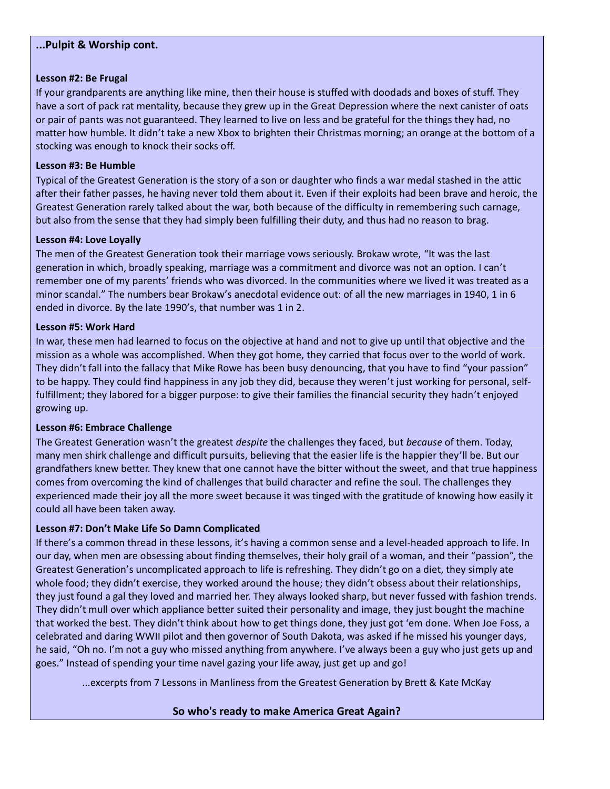#### **...Pulpit & Worship cont.**

#### **Lesson #2: Be Frugal**

If your grandparents are anything like mine, then their house is stuffed with doodads and boxes of stuff. They have a sort of pack rat mentality, because they grew up in the Great Depression where the next canister of oats or pair of pants was not guaranteed. They learned to live on less and be grateful for the things they had, no matter how humble. It didn't take a new Xbox to brighten their Christmas morning; an orange at the bottom of a stocking was enough to knock their socks off.

#### **Lesson #3: Be Humble**

Typical of the Greatest Generation is the story of a son or daughter who finds a war medal stashed in the attic after their father passes, he having never told them about it. Even if their exploits had been brave and heroic, the Greatest Generation rarely talked about the war, both because of the difficulty in remembering such carnage, but also from the sense that they had simply been fulfilling their duty, and thus had no reason to brag.

#### **Lesson #4: Love Loyally**

The men of the Greatest Generation took their marriage vows seriously. Brokaw wrote, "It was the last generation in which, broadly speaking, marriage was a commitment and divorce was not an option. I can't remember one of my parents' friends who was divorced. In the communities where we lived it was treated as a minor scandal." The numbers bear Brokaw's anecdotal evidence out: of all the new marriages in 1940, 1 in 6 ended in divorce. By the late 1990's, that number was 1 in 2.

#### **Lesson #5: Work Hard**

In war, these men had learned to focus on the objective at hand and not to give up until that objective and the mission as a whole was accomplished. When they got home, they carried that focus over to the world of work. They didn't fall into the fallacy that [Mike Rowe](http://www.youtube.com/watch?v=r-udsIV4Hmc) has been busy denouncing, that you have to find "your passion" to be happy. They could find happiness in any job they did, because they weren't just working for personal, selffulfillment; they labored for a bigger purpose: to give their families the financial security they hadn't enjoyed growing up.

#### **Lesson #6: Embrace Challenge**

The Greatest Generation wasn't the greatest *despite* the challenges they faced, but *because* of them. Today, many men shirk challenge and difficult pursuits, believing that the easier life is the happier they'll be. But our grandfathers knew better. They knew that [one cannot have the](http://www.artofmanliness.com/2012/05/06/cant-have-the-sweet-without-the-bitter/) [bitter without the sweet,](http://www.artofmanliness.com/2012/05/06/cant-have-the-sweet-without-the-bitter/) and that true happiness comes from overcoming the kind of challenges that build character and refine the soul. The challenges they experienced made their joy all the more sweet because it was tinged with the gratitude of knowing how easily it could all have been taken away.

#### **Lesson #7: Don't Make Life So Damn Complicated**

If there's a common thread in these lessons, it's having a common sense and a level-headed approach to life. In our day, when men are obsessing about finding themselves, their holy grail of a woman, and their "passion", the Greatest Generation's uncomplicated approach to life is refreshing. They didn't go on a diet, they simply ate whole food; they didn't exercise, they worked around the house; they didn't obsess about their relationships, they just found a gal they loved and married her. They always looked sharp, but never fussed with fashion trends. They didn't mull over which appliance better suited their personality and image, they just bought the machine that worked the best. They didn't think about how to get things done, they just got 'em done. When Joe Foss, a celebrated and daring WWII pilot and then governor of South Dakota, was asked if he missed his younger days, he said, "Oh no. I'm not a guy who missed anything from anywhere. I've always been a guy who just gets up and goes." Instead of spending your time navel gazing your life away, just get up and go!

...excerpts from 7 Lessons in Manliness from the Greatest Generation by Brett & Kate McKay

#### **So who's ready to make America Great Again?**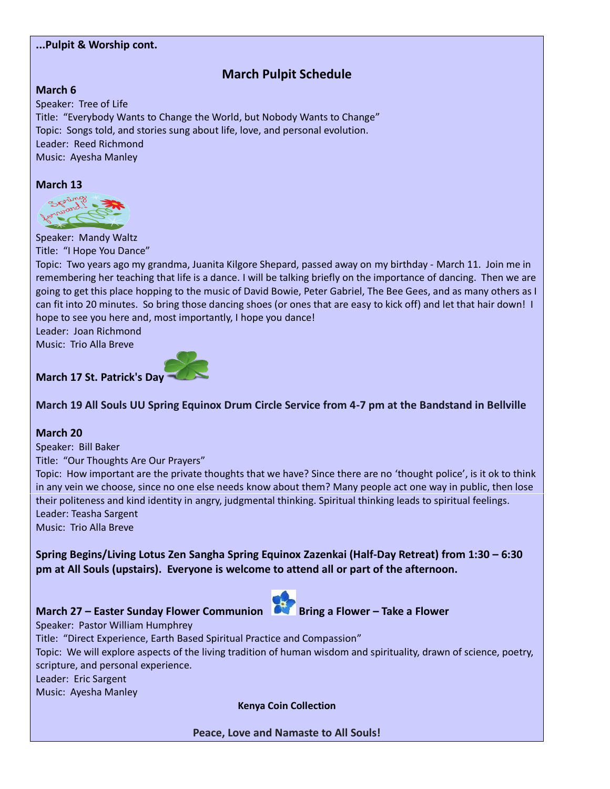#### **...Pulpit & Worship cont.**

# **March Pulpit Schedule**

#### **March 6**

Speaker: Tree of Life Title: "Everybody Wants to Change the World, but Nobody Wants to Change" Topic: Songs told, and stories sung about life, love, and personal evolution. Leader: Reed Richmond Music: Ayesha Manley

#### **March 13**



Speaker: Mandy Waltz

Title: "I Hope You Dance"

Topic: Two years ago my grandma, Juanita Kilgore Shepard, passed away on my birthday - March 11. Join me in remembering her teaching that life is a dance. I will be talking briefly on the importance of dancing. Then we are going to get this place hopping to the music of David Bowie, Peter Gabriel, The Bee Gees, and as many others as I can fit into 20 minutes. So bring those dancing shoes (or ones that are easy to kick off) and let that hair down! I hope to see you here and, most importantly, I hope you dance!

Leader: Joan Richmond

Music: Trio Alla Breve



## **March 19 All Souls UU Spring Equinox Drum Circle Service from 4-7 pm at the Bandstand in Bellville**

#### **March 20**

Speaker: Bill Baker

Title: "Our Thoughts Are Our Prayers"

Topic: How important are the private thoughts that we have? Since there are no 'thought police', is it ok to think in any vein we choose, since no one else needs know about them? Many people act one way in public, then lose their politeness and kind identity in angry, judgmental thinking. Spiritual thinking leads to spiritual feelings. Leader: Teasha Sargent

Music: Trio Alla Breve

**Spring Begins/Living Lotus Zen Sangha Spring Equinox Zazenkai (Half-Day Retreat) from 1:30 – 6:30 pm at All Souls (upstairs). Everyone is welcome to attend all or part of the afternoon.**

# **March 27 – Easter Sunday Flower Communion Bring a Flower – Take a Flower**



Speaker: Pastor William Humphrey Title: "Direct Experience, Earth Based Spiritual Practice and Compassion" Topic: We will explore aspects of the living tradition of human wisdom and spirituality, drawn of science, poetry, scripture, and personal experience. Leader: Eric Sargent Music: Ayesha Manley

**Kenya Coin Collection**

**Peace, Love and Namaste to All Souls!**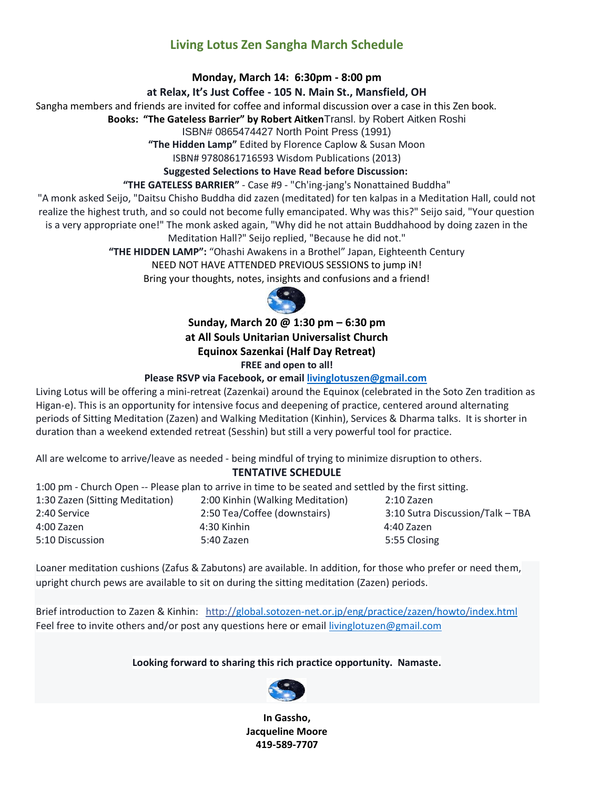# **Living Lotus Zen Sangha March Schedule**

#### **Monday, March 14: 6:30pm - 8:00 pm**

#### **at Relax, It's Just Coffee - 105 N. Main St., Mansfield, OH**

Sangha members and friends are invited for coffee and informal discussion over a case in this Zen book.

**Books: "The Gateless Barrier" by Robert Aitken**Transl. by Robert Aitken Roshi

ISBN# 0865474427 North Point Press (1991)

**"The Hidden Lamp"** Edited by Florence Caplow & Susan Moon

ISBN# 9780861716593 Wisdom Publications (2013)

#### **Suggested Selections to Have Read before Discussion:**

#### **"THE GATELESS BARRIER"** - Case #9 - "Ch'ing-jang's Nonattained Buddha"

"A monk asked Seijo, "Daitsu Chisho Buddha did zazen (meditated) for ten kalpas in a Meditation Hall, could not realize the highest truth, and so could not become fully emancipated. Why was this?" Seijo said, "Your question is a very appropriate one!" The monk asked again, "Why did he not attain Buddhahood by doing zazen in the

#### Meditation Hall?" Seijo replied, "Because he did not."

**"THE HIDDEN LAMP":** "Ohashi Awakens in a Brothel" Japan, Eighteenth Century

NEED NOT HAVE ATTENDED PREVIOUS SESSIONS to jump iN!

Bring your thoughts, notes, insights and confusions and a friend!



**Sunday, March 20 @ 1:30 pm – 6:30 pm at All Souls Unitarian Universalist Church Equinox Sazenkai (Half Day Retreat) FREE and open to all!**

#### **Please RSVP via Facebook, or email [livinglotuszen@gmail.com](mailto:livinglotuszen@gmail.com)**

Living Lotus will be offering a mini-retreat (Zazenkai) around the Equinox (celebrated in the Soto Zen tradition as Higan-e). This is an opportunity for intensive focus and deepening of practice, centered around alternating periods of Sitting Meditation (Zazen) and Walking Meditation (Kinhin), Services & Dharma talks. It is shorter in duration than a weekend extended retreat (Sesshin) but still a very powerful tool for practice.

All are welcome to arrive/leave as needed - being mindful of trying to minimize disruption to others.

#### **TENTATIVE SCHEDULE**

1:00 pm - Church Open -- Please plan to arrive in time to be seated and settled by the first sitting.

| 1:30 Zazen (Sitting Meditation) | 2:00 Kinhin (Walking Meditation) | 2:10 Zazen                       |
|---------------------------------|----------------------------------|----------------------------------|
| 2:40 Service                    | 2:50 Tea/Coffee (downstairs)     | 3:10 Sutra Discussion/Talk - TBA |
| 4:00 Zazen                      | 4:30 Kinhin                      | 4:40 Zazen                       |
| 5:10 Discussion                 | 5:40 Zazen                       | 5:55 Closing                     |

Loaner meditation cushions (Zafus & Zabutons) are available. In addition, for those who prefer or need them, upright church pews are available to sit on during the sitting meditation (Zazen) periods.

Brief introduction to Zazen & Kinhin: [http://global.sotozen-net.or.jp/eng/practice/zazen/howto/index.html](http://l.facebook.com/l.php?u=http%3A%2F%2Fglobal.sotozen-net.or.jp%2Feng%2Fpractice%2Fzazen%2Fhowto%2Findex.html&h=FAQEH475V&enc=AZObQQqlAJK8T6lGX8mw37wDfopo2usmZFPCmwWtlM03SyhKHfzgrU5L2UAzskxr5gw&s=1) Feel free to invite others and/or post any questions here or email [livinglotuzen@gmail.com](mailto:livinglotuzen@gmail.com)

#### **Looking forward to sharing this rich practice opportunity. Namaste.**



**In Gassho, Jacqueline Moore 419-589-7707**